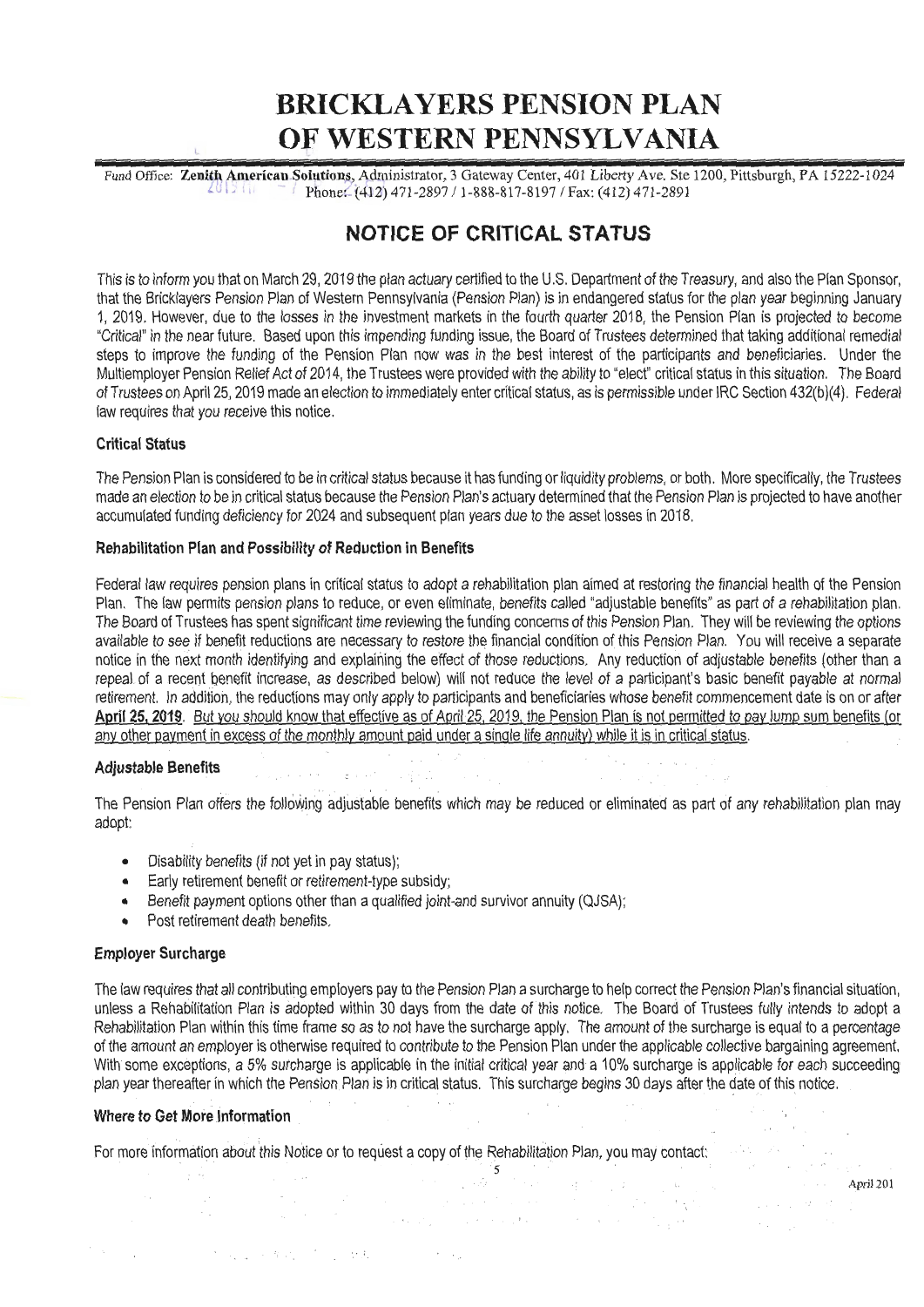# **BRICKLAYERS PENSION PLAN OF WESTERN PENNSYLVANIA**

Fund Office: **Zenith American Solutions, Admi**nistrator, 3 Gateway Center, 401 Liberty Ave. Ste 1200, Pittsburgh, PA 15222-1024  $\frac{2013}{111}$  -  $\frac{1}{200}$  phone: (412) 471-2897 / 1-888-817-8197 / Fax: (412) 471-2891

## **NOTICE OF CRITICAL STATUS**

This is to inform you that on March 29, 2019 the plan actuary certified to the U.S. Department of the Treasury, and also the Plan Sponsor, that the Bricklayers Pension Plan of Western Pennsylvania (Pension Plan) is in endangered status for the plan year beginning January 1, 2019. However, due to the losses in the investment markets in the fourth quarter 2018, the Pension Plan is projected to become "Critical" in the near future. Based upon this impending funding issue, the Board of Trustees determined that taking additional remedial steps to improve the funding of the Pension Plan now was in the best interest of the participants and beneficiaries. Under the Multiemployer Pension Relief Act of 2014, the Trustees were provided with the ability to "elect" critical status in this situation. The Board ofTrustees on April 25, 2019 made an election to immediately enter critical status, as is permissible under IRC Section 432(b)(4). Federal law requires that you receive this notice.

#### **Critical Status**

The Pension Plan is considered to be in critical status because it has funding or liquidity problems, or both. More specifically, the Trustees made an election to be in critical status because the Pension Plan's actuary determined that the Pension Plan is projected to have another accumulated funding deficiency for 2024 and subsequent plan years due to the asset losses in 2018.

#### **Rehabilitation Plan and Possibility of Reduction in Benefits**

Federal law requires pension plans in critical status to adopt a rehabilitation plan aimed at restoring the financial health of the Pension Plan. The law permits pension plans to reduce, or even eliminate, benefits called "adjustable benefits" as part of a rehabilitation plan. The Board of Trustees has spent significant time reviewing the funding concerns of this Pension Plan. They will be reviewing the options available to see if benefit reductions are necessary to restore the financial condition of this Pension Plan. You will receive a separate notice in the next month identifying and explaining the effect of those reductions. Any reduction of adjustable benefits (other than a repeal of a recent benefit increase, as described below) will not reduce the level of a participant's basic benefit payable at normal retirement. In addition, the reductions may only apply to participants and beneficiaries whose benefit commencement date is on or after April 25, 2019. But you should know that effective as of April 25, 2019, the Pension Plan is not permitted to pay lump sum benefits (or any other payment in excess of the monthly amount paid under a single life annuity) while it is in critical status.

### **Adjustable Benefits** :: ' .

The Pension Plan offers the following adjustable benefits which may be reduced or eliminated as part of any rehabilitation plan may adopt:

- Disability benefits (if not yet in pay status);
- Early retirement benefit or retirement-type subsidy;
- Benefit payment options other than a qualified joint-and survivor annuity (QJSA);
- Post retirement death benefits.

#### **Employer Surcharge**

The law requires that all contributing employers pay to the Pension Plan a surcharge to help correct the Pension Plan's financial situation, unless a Rehabilitation Plan is adopted within 30 days from the date of this notice. The Board of Trustees fully intends to adopt a Rehabilitation Plan within this time frame so as to not have the surcharge apply. The amount of the surcharge is equal to a percentage of the amount an employer is otherwise required to contribute to the Pension Plan under the applicable collective bargaining agreement. With some exceptions, a 5% surcharge is applicable in the initial critical year and a 10% surcharge is applicable for each succeeding plan year thereafter in which the Pension Plan is in critical status. This surcharge begins 30 days after the date of this notice.

any complete and the

#### **Where to Get More Information** \_

For more information about this Notice or to request a copy of the Rehabilitation Plan, you may contact:

- ., i

April 201

i<br>Propinsi